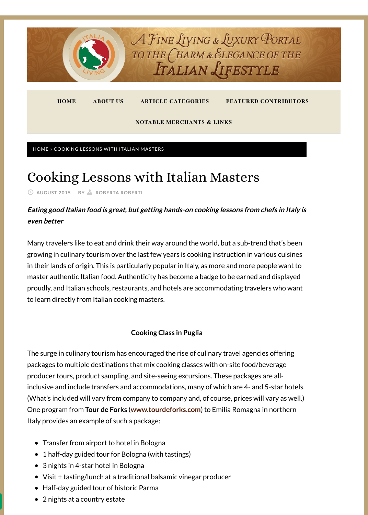[HOME](http://www.italialiving.com/) » COOKING LESSONS WITH ITALIAN MASTERS

# Cooking Lessons with Italian Masters

**AUGUST 2015 BY [ROBERTA ROBERTI](http://www.italialiving.com/author/roberta-roberti/)**

# **Eating good Italian food is great, but getting hands-on cooking lessons from chefs in Italy is even better**

Many travelers like to eat and drink their way around the world, but a sub-trend that's been growing in culinary tourism over the last few years is cooking instruction in various cuisines in their lands of origin. This is particularly popular in Italy, as more and more people want to master authentic Italian food. Authenticity has become a badge to be earned and displayed proudly, and Italian schools, restaurants, and hotels are accommodating travelers who want to learn directly from Italian cooking masters.

**Cooking Class in Puglia**

The surge in culinary tourism has encouraged the rise of culinary travel agencies offering packages to multiple destinations that mix cooking classes with on-site food/beverage producer tours, product sampling, and site-seeing excursions. These packages are allinclusive and include transfers and accommodations, many of which are 4- and 5-star hotels. (What's included will vary from company to company and, of course, prices will vary as well.) One program from **Tour de Forks** (**[www.tourdeforks.com](http://www.tourdeforks.com/)**) to Emilia Romagna in northern Italy provides an example of such a package:

- Transfer from airport to hotel in Bologna
- 1 half-day guided tour for Bologna (with tastings)  $\bullet$
- 3 nights in 4-star hotel in Bologna
- Visit + tasting/lunch at a traditional balsamic vinegar producer
- Half-day guided tour of historic Parma
- 2 nights at a country estate  $\bullet$



**[HOME](http://www.italialiving.com/) [ABOUT US](http://www.italialiving.com/about/) [ARTICLE CATEGORIES](http://www.italialiving.com/category/articles/) [FEATURED CONTRIBUTORS](http://www.italialiving.com/featured-italia-living-contributors/)**

**[NOTABLE MERCHANTS & LINKS](http://www.italialiving.com/notable-merchants-links/)**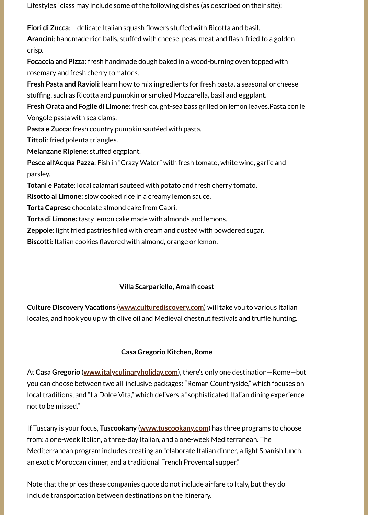Lifestyles" class may include some of the following dishes (as described on their site):

**Fiori di Zucca**: – delicate Italian squash flowers stuffed with Ricotta and basil.

**Arancini**: handmade rice balls, stuffed with cheese, peas, meat and flash-fried to a golden crisp.

**Focaccia and Pizza**: fresh handmade dough baked in a wood-burning oven topped with rosemary and fresh cherry tomatoes.

**Fresh Pasta and Ravioli**: learn how to mix ingredients for fresh pasta, a seasonal or cheese stuffing, such as Ricotta and pumpkin or smoked Mozzarella, basil and eggplant.

**Fresh Orata and Foglie di Limone**: fresh caught-sea bass grilled on lemon leaves.Pasta con le Vongole pasta with sea clams.

**Pasta e Zucca**: fresh country pumpkin sautéed with pasta.

**Tittoli**: fried polenta triangles.

**Melanzane Ripiene**: stuffed eggplant.

**Pesce all'Acqua Pazza**: Fish in "Crazy Water" with fresh tomato, white wine, garlic and parsley.

**Totani e Patate**: local calamari sautéed with potato and fresh cherry tomato.

**Risotto al Limone:** slow cooked rice in a creamy lemon sauce.

**Torta Caprese** chocolate almond cake from Capri.

**Torta di Limone:** tasty lemon cake made with almonds and lemons.

**Zeppole:** light fried pastries filled with cream and dusted with powdered sugar.

**Biscotti:** Italian cookies flavored with almond, orange or lemon.

## **Villa Scarpariello, Amalfi coast**

**Culture Discovery Vacations** (**[www.culturediscovery.com](http://www.culturediscovery.com/)**) will take you to various Italian locales, and hook you up with olive oil and Medieval chestnut festivals and truffle hunting.

#### **Casa Gregorio Kitchen, Rome**

At **Casa Gregorio** (**[www.italyculinaryholiday.com](http://www.italyculinaryholiday.com/)**), there's only one destination—Rome—but you can choose between two all-inclusive packages: "Roman Countryside," which focuses on local traditions, and "La Dolce Vita," which delivers a "sophisticated Italian dining experience not to be missed."

If Tuscany is your focus, **Tuscookany** (**[www.tuscookany.com](http://www.tuscookany.com/)**) has three programs to choose from: a one-week Italian, a three-day Italian, and a one-week Mediterranean. The Mediterranean program includes creating an "elaborate Italian dinner, a light Spanish lunch, an exotic Moroccan dinner, and a traditional French Provencal supper."

Note that the prices these companies quote do not include airfare to Italy, but they do include transportation between destinations on the itinerary.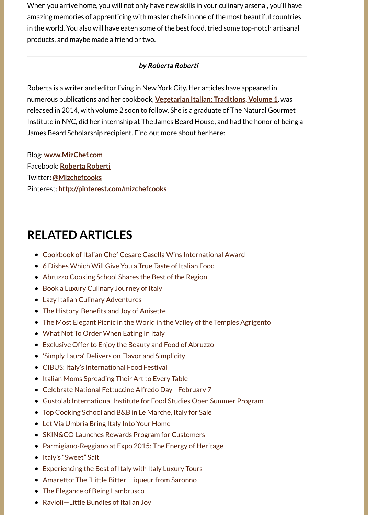When you arrive home, you will not only have new skills in your culinary arsenal, you'll have amazing memories of apprenticing with master chefs in one of the most beautiful countries in the world. You also will have eaten some of the best food, tried some top-notch artisanal products, and maybe made a friend or two.

## **by Roberta Roberti**

Roberta is a writer and editor living in New York City. Her articles have appeared in numerous publications and her cookbook, **[Vegetarian Italian: Traditions, Volume 1](http://astore.amazon.com/italialiving-20/detail/1939562341)**, was released in 2014, with volume 2 soon to follow. She is a graduate of The Natural Gourmet Institute in NYC, did her internship at The James Beard House, and had the honor of being a James Beard Scholarship recipient. Find out more about her here:

Blog: **[www.MizChef.com](http://www.mizchef.com/)** Facebook: **[Roberta Roberti](https://www.facebook.com/MizChefCooks)** Twitter: **[@Mizchefcooks](https://twitter.com/mizchefcooks)** Pinterest: **<http://pinterest.com/mizchefcooks>**

# **RELATED ARTICLES**

- [Cookbook of Italian Chef Cesare Casella Wins International Award](http://www.italialiving.com/articles/food-wine/cookbook-italian-chef-cesare-casella-wins-international-award/)
- [6 Dishes Which Will Give You a True Taste of Italian Food](http://www.italialiving.com/articles/food-wine/6-dishes-will-give-true-taste-italian-food/)
- [Abruzzo Cooking School Shares the Best of the Region](http://www.italialiving.com/articles/food-wine/abruzzo-cooking-school-shares-the-best-of-the-region/)
- [Book a Luxury Culinary Journey of Italy](http://www.italialiving.com/articles/travel/book-luxury-culinary-journey-italy/)
- [Lazy Italian Culinary Adventures](http://www.italialiving.com/articles/food-wine/lazy-italian-culinary-adventures/)
- [The History, Benefits and Joy of Anisette](http://www.italialiving.com/articles/food-wine/the-history-benefits-and-joy-of-anisette/)
- [The Most Elegant Picnic in the World in the Valley of the Temples Agrigento](http://www.italialiving.com/articles/travel/elegant-picnic-world-valley-temples-agrigento/)
- [What Not To Order When Eating In Italy](http://www.italialiving.com/articles/food-wine/not-order-eating-italy/)
- [Exclusive Offer to Enjoy the Beauty and Food of Abruzzo](http://www.italialiving.com/articles/food-wine/special-offer-enjoy-scenery-food-abruzzo/)
- ['Simply Laura' Delivers on Flavor and Simplicity](http://www.italialiving.com/articles/food-wine/simply-laura-delivers-on-flavor-and-simplicity/)
- [CIBUS: Italy's International Food Festival](http://www.italialiving.com/articles/food-wine/cibus-italys-international-food-festival/)
- [Italian Moms Spreading Their Art to Every Table](http://www.italialiving.com/articles/food-wine/italian-moms-spreading-their-art-to-every-table/)
- [Celebrate National Fettuccine Alfredo Day—February 7](http://www.italialiving.com/articles/food-wine/celebrate-national-fettuccine-alfredo-day-february-7/)
- [Gustolab International Institute for Food Studies Open Summer Program](http://www.italialiving.com/articles/food-wine/gustolab-international-institute-for-food-studies-open-summer-program/)
- [Top Cooking School and B&B in Le Marche, Italy for Sale](http://www.italialiving.com/articles/lifestyle/top-cooking-school-bb-le-marche-italy-sale/)
- [Let Via Umbria Bring Italy Into Your Home](http://www.italialiving.com/articles/home-garden/let-via-umbria-bring-italy-into-your-home/)
- [SKIN&CO Launches Rewards Program for Customers](http://www.italialiving.com/articles/wellness/skinco-launches-rewards-program-for-customers/)
- [Parmigiano-Reggiano at Expo 2015: The Energy of Heritage](http://www.italialiving.com/articles/food-wine/parmigiano-reggiano-at-expo-2015-the-energy-of-heritage/)  $\bullet$
- [Italy's "Sweet" Salt](http://www.italialiving.com/articles/food-wine/italys-sweet-salt/)
- [Experiencing the Best of Italy with Italy Luxury Tours](http://www.italialiving.com/articles/travel/seeing-the-best-of-italy-with-italy-luxury-tours/)
- [Amaretto: The "Little Bitter" Liqueur from Saronno](http://www.italialiving.com/articles/food-wine/amaretto-the-little-bitter-liqueur-from-saronno/)
- [The Elegance of Being Lambrusco](http://www.italialiving.com/articles/food-wine/the-elegance-of-being-lambrusco/)
- [Ravioli—Little Bundles of Italian Joy](http://www.italialiving.com/articles/food-wine/ravioli-little-bundles-of-italian-joy/)